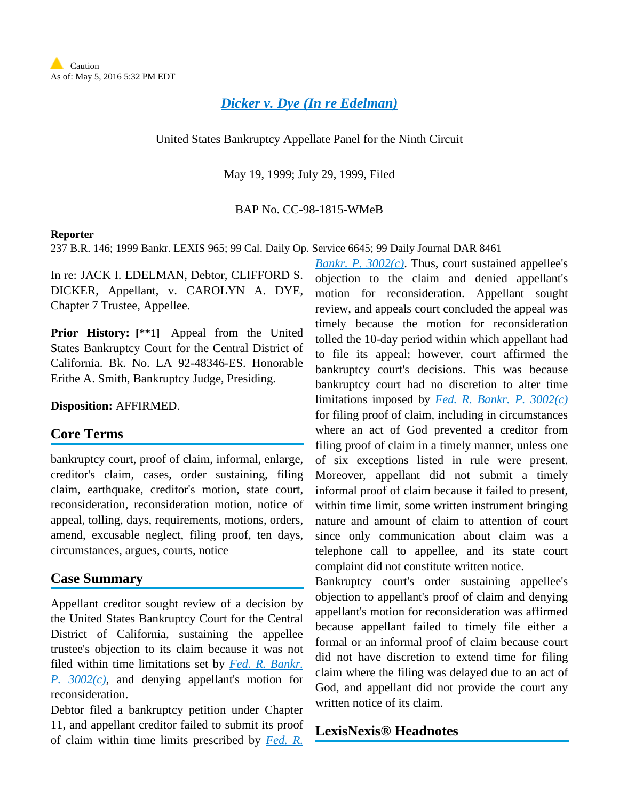*[Dicker v. Dye \(In re Edelman\)](http://advance.lexis.com/api/document?collection=cases&id=urn:contentItem:3X5Y-2MK0-0039-01W0-00000-00&context=1000516)*

United States Bankruptcy Appellate Panel for the Ninth Circuit

May 19, 1999; July 29, 1999, Filed

BAP No. CC-98-1815-WMeB

#### **Reporter**

237 B.R. 146; 1999 Bankr. LEXIS 965; 99 Cal. Daily Op. Service 6645; 99 Daily Journal DAR 8461

In re: JACK I. EDELMAN, Debtor, CLIFFORD S. DICKER, Appellant, v. CAROLYN A. DYE, Chapter 7 Trustee, Appellee.

**Prior History: [\*\*1]** Appeal from the United States Bankruptcy Court for the Central District of California. Bk. No. LA 92-48346-ES. Honorable Erithe A. Smith, Bankruptcy Judge, Presiding.

**Disposition:** AFFIRMED.

# **Core Terms**

bankruptcy court, proof of claim, informal, enlarge, creditor's claim, cases, order sustaining, filing claim, earthquake, creditor's motion, state court, reconsideration, reconsideration motion, notice of appeal, tolling, days, requirements, motions, orders, amend, excusable neglect, filing proof, ten days, circumstances, argues, courts, notice

### **Case Summary**

Appellant creditor sought review of a decision by the United States Bankruptcy Court for the Central District of California, sustaining the appellee trustee's objection to its claim because it was not filed within time limitations set by *[Fed. R. Bankr.](http://advance.lexis.com/api/document?collection=statutes-legislation&id=urn:contentItem:4YF7-GMP1-NRF4-41HD-00000-00&context=1000516)  [P. 3002\(c\)](http://advance.lexis.com/api/document?collection=statutes-legislation&id=urn:contentItem:4YF7-GMP1-NRF4-41HD-00000-00&context=1000516)*, and denying appellant's motion for reconsideration.

Debtor filed a bankruptcy petition under Chapter 11, and appellant creditor failed to submit its proof of claim within time limits prescribed by *[Fed. R.](http://advance.lexis.com/api/document?collection=statutes-legislation&id=urn:contentItem:4YF7-GMP1-NRF4-41HD-00000-00&context=1000516)* 

*[Bankr. P. 3002\(c\)](http://advance.lexis.com/api/document?collection=statutes-legislation&id=urn:contentItem:4YF7-GMP1-NRF4-41HD-00000-00&context=1000516)*. Thus, court sustained appellee's objection to the claim and denied appellant's motion for reconsideration. Appellant sought review, and appeals court concluded the appeal was timely because the motion for reconsideration tolled the 10-day period within which appellant had to file its appeal; however, court affirmed the bankruptcy court's decisions. This was because bankruptcy court had no discretion to alter time limitations imposed by *[Fed. R. Bankr. P. 3002\(c\)](http://advance.lexis.com/api/document?collection=statutes-legislation&id=urn:contentItem:4YF7-GMP1-NRF4-41HD-00000-00&context=1000516)* for filing proof of claim, including in circumstances where an act of God prevented a creditor from filing proof of claim in a timely manner, unless one of six exceptions listed in rule were present. Moreover, appellant did not submit a timely informal proof of claim because it failed to present, within time limit, some written instrument bringing nature and amount of claim to attention of court since only communication about claim was a telephone call to appellee, and its state court complaint did not constitute written notice.

Bankruptcy court's order sustaining appellee's objection to appellant's proof of claim and denying appellant's motion for reconsideration was affirmed because appellant failed to timely file either a formal or an informal proof of claim because court did not have discretion to extend time for filing claim where the filing was delayed due to an act of God, and appellant did not provide the court any written notice of its claim.

### **LexisNexis® Headnotes**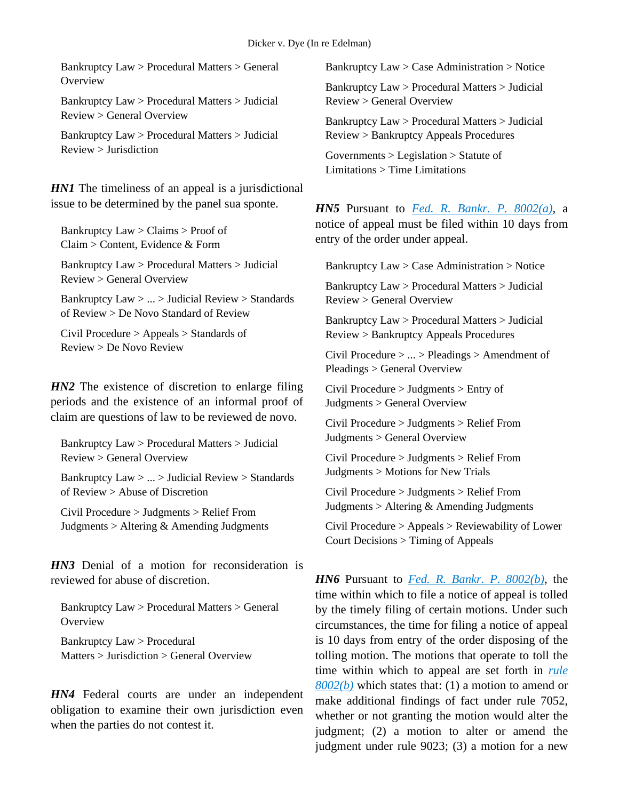Bankruptcy Law > Procedural Matters > General **Overview** 

Bankruptcy Law > Procedural Matters > Judicial Review > General Overview

Bankruptcy Law > Procedural Matters > Judicial Review > Jurisdiction

*HN1* The timeliness of an appeal is a jurisdictional issue to be determined by the panel sua sponte.

Bankruptcy  $Law > Claims > Proof of$ Claim > Content, Evidence & Form

Bankruptcy Law > Procedural Matters > Judicial Review > General Overview

Bankruptcy Law > ... > Judicial Review > Standards of Review > De Novo Standard of Review

Civil Procedure > Appeals > Standards of Review > De Novo Review

*HN2* The existence of discretion to enlarge filing periods and the existence of an informal proof of claim are questions of law to be reviewed de novo.

Bankruptcy Law > Procedural Matters > Judicial Review > General Overview

Bankruptcy Law > ... > Judicial Review > Standards of  $\text{Review} > \text{A}$  huse of Discretion

Civil Procedure > Judgments > Relief From Judgments > Altering & Amending Judgments

*HN3* Denial of a motion for reconsideration is reviewed for abuse of discretion.

Bankruptcy Law > Procedural Matters > General **Overview** 

Bankruptcy Law > Procedural Matters > Jurisdiction > General Overview

*HN4* Federal courts are under an independent obligation to examine their own jurisdiction even when the parties do not contest it.

Bankruptcy Law > Case Administration > Notice

Bankruptcy Law > Procedural Matters > Judicial Review > General Overview

Bankruptcy Law > Procedural Matters > Judicial Review > Bankruptcy Appeals Procedures

Governments > Legislation > Statute of Limitations > Time Limitations

*HN5* Pursuant to *[Fed. R. Bankr. P. 8002\(a\)](http://advance.lexis.com/api/document?collection=statutes-legislation&id=urn:contentItem:4YF7-GW11-NRF4-41Y5-00000-00&context=1000516)*, a notice of appeal must be filed within 10 days from entry of the order under appeal.

Bankruptcy Law > Case Administration > Notice

Bankruptcy Law > Procedural Matters > Judicial Review > General Overview

Bankruptcy Law > Procedural Matters > Judicial Review > Bankruptcy Appeals Procedures

Civil Procedure > ... > Pleadings > Amendment of Pleadings > General Overview

Civil Procedure > Judgments > Entry of Judgments > General Overview

Civil Procedure > Judgments > Relief From Judgments > General Overview

Civil Procedure > Judgments > Relief From Judgments > Motions for New Trials

Civil Procedure > Judgments > Relief From Judgments  $>$  Altering  $&$  Amending Judgments

Civil Procedure > Appeals > Reviewability of Lower Court Decisions > Timing of Appeals

*HN6* Pursuant to *[Fed. R. Bankr. P. 8002\(b\)](http://advance.lexis.com/api/document?collection=statutes-legislation&id=urn:contentItem:4YF7-GW11-NRF4-41Y5-00000-00&context=1000516)*, the time within which to file a notice of appeal is tolled by the timely filing of certain motions. Under such circumstances, the time for filing a notice of appeal is 10 days from entry of the order disposing of the tolling motion. The motions that operate to toll the time within which to appeal are set forth in *[rule](http://advance.lexis.com/api/document?collection=statutes-legislation&id=urn:contentItem:4YF7-GW11-NRF4-41Y5-00000-00&context=1000516)  [8002\(b\)](http://advance.lexis.com/api/document?collection=statutes-legislation&id=urn:contentItem:4YF7-GW11-NRF4-41Y5-00000-00&context=1000516)* which states that: (1) a motion to amend or make additional findings of fact under rule 7052, whether or not granting the motion would alter the judgment; (2) a motion to alter or amend the judgment under rule 9023; (3) a motion for a new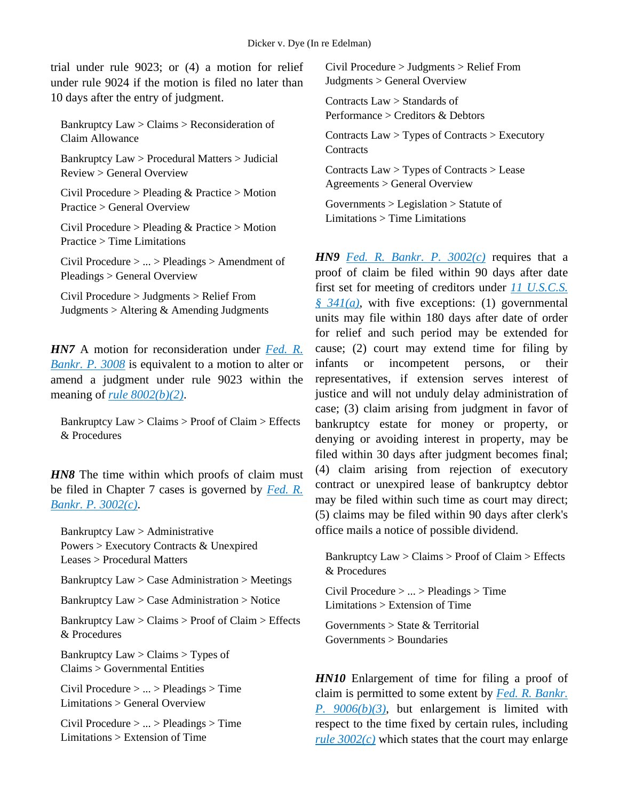trial under rule 9023; or (4) a motion for relief under rule 9024 if the motion is filed no later than 10 days after the entry of judgment.

Bankruptcy Law > Claims > Reconsideration of Claim Allowance

Bankruptcy Law > Procedural Matters > Judicial Review > General Overview

Civil Procedure > Pleading & Practice > Motion Practice > General Overview

Civil Procedure > Pleading & Practice > Motion Practice > Time Limitations

Civil Procedure > ... > Pleadings > Amendment of Pleadings > General Overview

Civil Procedure > Judgments > Relief From Judgments > Altering & Amending Judgments

*HN7* A motion for reconsideration under *[Fed. R.](http://advance.lexis.com/api/document?collection=statutes-legislation&id=urn:contentItem:4YF7-GT91-NRF4-40PK-00000-00&context=1000516)  [Bankr. P. 3008](http://advance.lexis.com/api/document?collection=statutes-legislation&id=urn:contentItem:4YF7-GT91-NRF4-40PK-00000-00&context=1000516)* is equivalent to a motion to alter or amend a judgment under rule 9023 within the meaning of *[rule 8002\(b\)\(2\)](http://advance.lexis.com/api/document?collection=statutes-legislation&id=urn:contentItem:4YF7-GW11-NRF4-41Y5-00000-00&context=1000516)*.

Bankruptcy Law > Claims > Proof of Claim > Effects & Procedures

*HN8* The time within which proofs of claim must be filed in Chapter 7 cases is governed by *[Fed. R.](http://advance.lexis.com/api/document?collection=statutes-legislation&id=urn:contentItem:4YF7-GMP1-NRF4-41HD-00000-00&context=1000516)  [Bankr. P. 3002\(c\)](http://advance.lexis.com/api/document?collection=statutes-legislation&id=urn:contentItem:4YF7-GMP1-NRF4-41HD-00000-00&context=1000516)*.

Bankruptcy Law > Administrative Powers > Executory Contracts & Unexpired Leases > Procedural Matters

Bankruptcy Law > Case Administration > Meetings

Bankruptcy Law > Case Administration > Notice

Bankruptcy Law > Claims > Proof of Claim > Effects & Procedures

Bankruptcy  $Law > Claims > Types$  of Claims > Governmental Entities

Civil Procedure > ... > Pleadings > Time Limitations > General Overview

Civil Procedure > ... > Pleadings > Time Limitations > Extension of Time

Civil Procedure > Judgments > Relief From Judgments > General Overview

Contracts Law > Standards of Performance > Creditors & Debtors

Contracts Law > Types of Contracts > Executory **Contracts** 

Contracts Law > Types of Contracts > Lease Agreements > General Overview

Governments > Legislation > Statute of Limitations > Time Limitations

*HN9 [Fed. R. Bankr. P. 3002\(c\)](http://advance.lexis.com/api/document?collection=statutes-legislation&id=urn:contentItem:4YF7-GMP1-NRF4-41HD-00000-00&context=1000516)* requires that a proof of claim be filed within 90 days after date first set for meeting of creditors under *[11 U.S.C.S.](http://advance.lexis.com/api/document?collection=statutes-legislation&id=urn:contentItem:4YF7-GWF1-NRF4-40PS-00000-00&context=1000516)  [§ 341\(a\)](http://advance.lexis.com/api/document?collection=statutes-legislation&id=urn:contentItem:4YF7-GWF1-NRF4-40PS-00000-00&context=1000516)*, with five exceptions: (1) governmental units may file within 180 days after date of order for relief and such period may be extended for cause; (2) court may extend time for filing by infants or incompetent persons, or their representatives, if extension serves interest of justice and will not unduly delay administration of case; (3) claim arising from judgment in favor of bankruptcy estate for money or property, or denying or avoiding interest in property, may be filed within 30 days after judgment becomes final; (4) claim arising from rejection of executory contract or unexpired lease of bankruptcy debtor may be filed within such time as court may direct; (5) claims may be filed within 90 days after clerk's office mails a notice of possible dividend.

Bankruptcy Law > Claims > Proof of Claim > Effects & Procedures

Civil Procedure > ... > Pleadings > Time Limitations > Extension of Time

Governments  $>$  State  $&$  Territorial Governments > Boundaries

*HN10* Enlargement of time for filing a proof of claim is permitted to some extent by *[Fed. R. Bankr.](http://advance.lexis.com/api/document?collection=statutes-legislation&id=urn:contentItem:4YF7-GJ51-NRF4-42SW-00000-00&context=1000516)  P. [9006\(b\)\(3\)](http://advance.lexis.com/api/document?collection=statutes-legislation&id=urn:contentItem:4YF7-GJ51-NRF4-42SW-00000-00&context=1000516)*, but enlargement is limited with respect to the time fixed by certain rules, including *[rule 3002\(c\)](http://advance.lexis.com/api/document?collection=statutes-legislation&id=urn:contentItem:4YF7-GMP1-NRF4-41HD-00000-00&context=1000516)* which states that the court may enlarge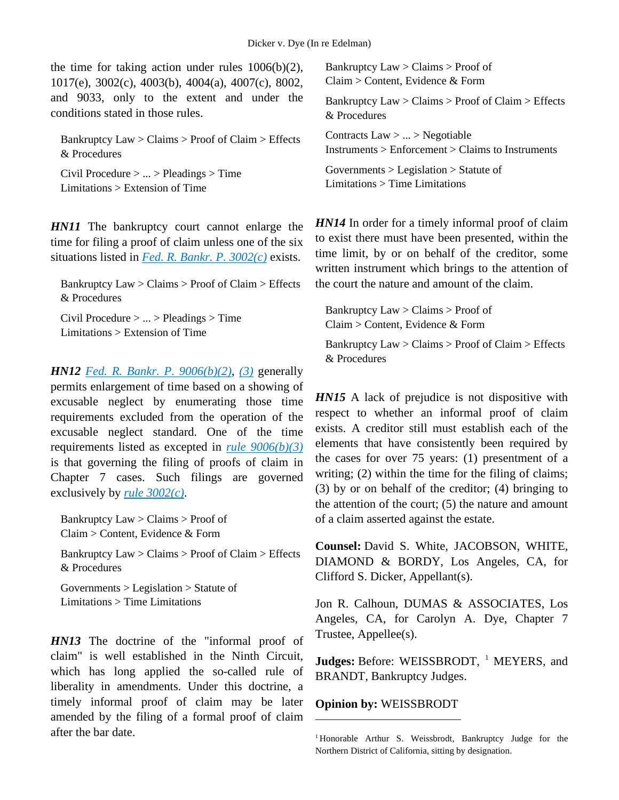the time for taking action under rules  $1006(b)(2)$ , 1017(e), 3002(c), 4003(b), 4004(a), 4007(c), 8002, and 9033, only to the extent and under the conditions stated in those rules.

Bankruptcy  $Law > Claim > Proof$  of  $Claim > Effects$ & Procedures

Civil Procedure > ... > Pleadings > Time Limitations > Extension of Time

*HN11* The bankruptcy court cannot enlarge the time for filing a proof of claim unless one of the six situations listed in *[Fed. R. Bankr. P. 3002\(c\)](http://advance.lexis.com/api/document?collection=statutes-legislation&id=urn:contentItem:4YF7-GMP1-NRF4-41HD-00000-00&context=1000516)* exists.

Bankruptcy Law > Claims > Proof of Claim > Effects & Procedures

Civil Procedure > ... > Pleadings > Time Limitations > Extension of Time

*HN12 [Fed. R. Bankr. P. 9006\(b\)\(2\)](http://advance.lexis.com/api/document?collection=statutes-legislation&id=urn:contentItem:4YF7-GJ51-NRF4-42SW-00000-00&context=1000516)*, *[\(3\)](http://advance.lexis.com/api/document?collection=statutes-legislation&id=urn:contentItem:4YF7-GJ51-NRF4-42SW-00000-00&context=1000516)* generally permits enlargement of time based on a showing of excusable neglect by enumerating those time requirements excluded from the operation of the excusable neglect standard. One of the time requirements listed as excepted in *[rule 9006\(b\)\(3\)](http://advance.lexis.com/api/document?collection=statutes-legislation&id=urn:contentItem:4YF7-GJ51-NRF4-42SW-00000-00&context=1000516)* is that governing the filing of proofs of claim in Chapter 7 cases. Such filings are governed exclusively by *[rule 3002\(c\)](http://advance.lexis.com/api/document?collection=statutes-legislation&id=urn:contentItem:4YF7-GMP1-NRF4-41HD-00000-00&context=1000516)*.

Bankruptcy Law > Claims > Proof of Claim > Content, Evidence & Form

Bankruptcy Law > Claims > Proof of Claim > Effects & Procedures

Governments > Legislation > Statute of Limitations > Time Limitations

<span id="page-3-0"></span>*HN13* The doctrine of the "informal proof of claim" is well established in the Ninth Circuit, which has long applied the so-called rule of liberality in amendments. Under this doctrine, a timely informal proof of claim may be later amended by the filing of a formal proof of claim after the bar date.

Bankruptcy Law > Claims > Proof of Claim > Content, Evidence & Form

Bankruptcy  $Law > Claim > Proof$  of  $Claim > Effects$ & Procedures

Contracts Law > ... > Negotiable Instruments > Enforcement > Claims to Instruments

Governments > Legislation > Statute of Limitations > Time Limitations

*HN14* In order for a timely informal proof of claim to exist there must have been presented, within the time limit, by or on behalf of the creditor, some written instrument which brings to the attention of the court the nature and amount of the claim.

Bankruptcy Law > Claims > Proof of Claim > Content, Evidence & Form

Bankruptcy Law > Claims > Proof of Claim > Effects & Procedures

*HN15* A lack of prejudice is not dispositive with respect to whether an informal proof of claim exists. A creditor still must establish each of the elements that have consistently been required by the cases for over 75 years: (1) presentment of a writing; (2) within the time for the filing of claims; (3) by or on behalf of the creditor; (4) bringing to the attention of the court; (5) the nature and amount of a claim asserted against the estate.

**Counsel:** David S. White, JACOBSON, WHITE, DIAMOND & BORDY, Los Angeles, CA, for Clifford S. Dicker, Appellant(s).

Jon R. Calhoun, DUMAS & ASSOCIATES, Los Angeles, CA, for Carolyn A. Dye, Chapter 7 Trustee, Appellee(s).

**Judges:** Before: WEISSBRODT, <sup>[1](#page-3-0)</sup> MEYERS, and BRANDT, Bankruptcy Judges.

# **Opinion by:** WEISSBRODT

 $\overline{a}$ 

<sup>1</sup> Honorable Arthur S. Weissbrodt, Bankruptcy Judge for the Northern District of California, sitting by designation.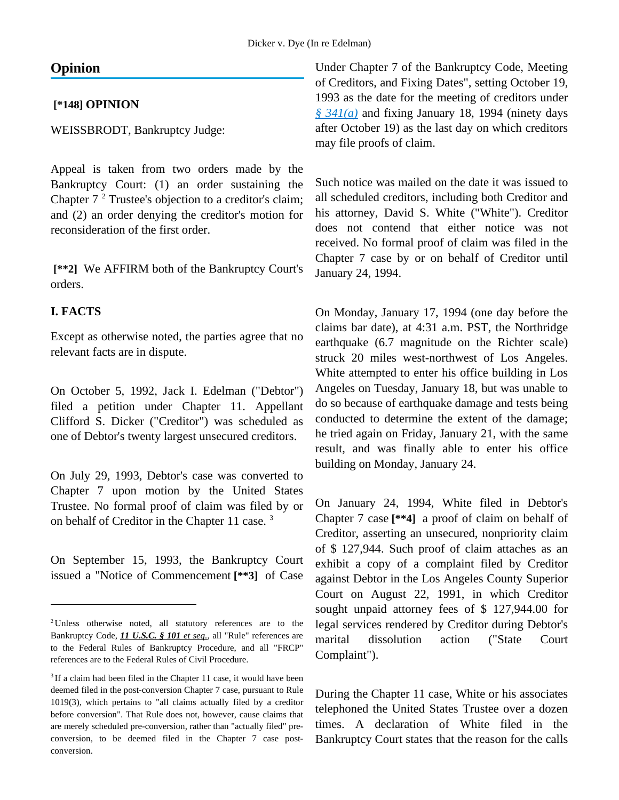# **Opinion**

### **[\*148] OPINION**

WEISSBRODT, Bankruptcy Judge:

Appeal is taken from two orders made by the Bankruptcy Court: (1) an order sustaining the Chapter  $7<sup>2</sup>$  $7<sup>2</sup>$  $7<sup>2</sup>$  Trustee's objection to a creditor's claim; and (2) an order denying the creditor's motion for reconsideration of the first order.

**[\*\*2]** We AFFIRM both of the Bankruptcy Court's orders.

### **I. FACTS**

 $\overline{a}$ 

Except as otherwise noted, the parties agree that no relevant facts are in dispute.

On October 5, 1992, Jack I. Edelman ("Debtor") filed a petition under Chapter 11. Appellant Clifford S. Dicker ("Creditor") was scheduled as one of Debtor's twenty largest unsecured creditors.

On July 29, 1993, Debtor's case was converted to Chapter 7 upon motion by the United States Trustee. No formal proof of claim was filed by or on behalf of Creditor in the Chapter 11 case. [3](#page-4-1)

On September 15, 1993, the Bankruptcy Court issued a "Notice of Commencement **[\*\*3]** of Case Under Chapter 7 of the Bankruptcy Code, Meeting of Creditors, and Fixing Dates", setting October 19, 1993 as the date for the meeting of creditors under *[§ 341\(a\)](http://advance.lexis.com/api/document?collection=statutes-legislation&id=urn:contentItem:4YF7-GWF1-NRF4-40PS-00000-00&context=1000516)* and fixing January 18, 1994 (ninety days after October 19) as the last day on which creditors may file proofs of claim.

Such notice was mailed on the date it was issued to all scheduled creditors, including both Creditor and his attorney, David S. White ("White"). Creditor does not contend that either notice was not received. No formal proof of claim was filed in the Chapter 7 case by or on behalf of Creditor until January 24, 1994.

On Monday, January 17, 1994 (one day before the claims bar date), at 4:31 a.m. PST, the Northridge earthquake (6.7 magnitude on the Richter scale) struck 20 miles west-northwest of Los Angeles. White attempted to enter his office building in Los Angeles on Tuesday, January 18, but was unable to do so because of earthquake damage and tests being conducted to determine the extent of the damage; he tried again on Friday, January 21, with the same result, and was finally able to enter his office building on Monday, January 24.

On January 24, 1994, White filed in Debtor's Chapter 7 case **[\*\*4]** a proof of claim on behalf of Creditor, asserting an unsecured, nonpriority claim of \$ 127,944. Such proof of claim attaches as an exhibit a copy of a complaint filed by Creditor against Debtor in the Los Angeles County Superior Court on August 22, 1991, in which Creditor sought unpaid attorney fees of \$ 127,944.00 for legal services rendered by Creditor during Debtor's marital dissolution action ("State Court Complaint").

During the Chapter 11 case, White or his associates telephoned the United States Trustee over a dozen times. A declaration of White filed in the Bankruptcy Court states that the reason for the calls

<span id="page-4-0"></span><sup>&</sup>lt;sup>2</sup>Unless otherwise noted, all statutory references are to the Bankruptcy Code, *11 U.S.C. § 101 et seq.*, all "Rule" references are to the Federal Rules of Bankruptcy Procedure, and all "FRCP" references are to the Federal Rules of Civil Procedure.

<span id="page-4-1"></span><sup>&</sup>lt;sup>3</sup> If a claim had been filed in the Chapter 11 case, it would have been deemed filed in the post-conversion Chapter 7 case, pursuant to Rule 1019(3), which pertains to "all claims actually filed by a creditor before conversion". That Rule does not, however, cause claims that are merely scheduled pre-conversion, rather than "actually filed" preconversion, to be deemed filed in the Chapter 7 case postconversion.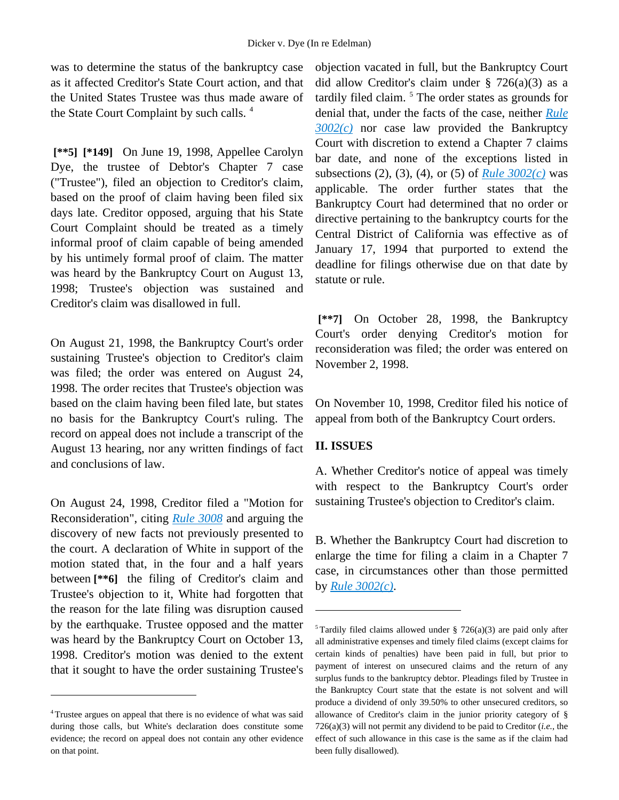was to determine the status of the bankruptcy case as it affected Creditor's State Court action, and that the United States Trustee was thus made aware of the State Court Complaint by such calls.<sup>[4](#page-5-0)</sup>

**[\*\*5] [\*149]** On June 19, 1998, Appellee Carolyn Dye, the trustee of Debtor's Chapter 7 case ("Trustee"), filed an objection to Creditor's claim, based on the proof of claim having been filed six days late. Creditor opposed, arguing that his State Court Complaint should be treated as a timely informal proof of claim capable of being amended by his untimely formal proof of claim. The matter was heard by the Bankruptcy Court on August 13, 1998; Trustee's objection was sustained and Creditor's claim was disallowed in full.

On August 21, 1998, the Bankruptcy Court's order sustaining Trustee's objection to Creditor's claim was filed; the order was entered on August 24, 1998. The order recites that Trustee's objection was based on the claim having been filed late, but states no basis for the Bankruptcy Court's ruling. The record on appeal does not include a transcript of the August 13 hearing, nor any written findings of fact and conclusions of law.

On August 24, 1998, Creditor filed a "Motion for Reconsideration", citing *[Rule 3008](http://advance.lexis.com/api/document?collection=statutes-legislation&id=urn:contentItem:4YF7-GT91-NRF4-40PK-00000-00&context=1000516)* and arguing the discovery of new facts not previously presented to the court. A declaration of White in support of the motion stated that, in the four and a half years between **[\*\*6]** the filing of Creditor's claim and Trustee's objection to it, White had forgotten that the reason for the late filing was disruption caused by the earthquake. Trustee opposed and the matter was heard by the Bankruptcy Court on October 13, 1998. Creditor's motion was denied to the extent that it sought to have the order sustaining Trustee's

<span id="page-5-1"></span> $\overline{a}$ 

objection vacated in full, but the Bankruptcy Court did allow Creditor's claim under  $\S$  726(a)(3) as a tardily filed claim. [5](#page-5-1) The order states as grounds for denial that, under the facts of the case, neither *[Rule](http://advance.lexis.com/api/document?collection=statutes-legislation&id=urn:contentItem:4YF7-GMP1-NRF4-41HD-00000-00&context=1000516)  [3002\(c\)](http://advance.lexis.com/api/document?collection=statutes-legislation&id=urn:contentItem:4YF7-GMP1-NRF4-41HD-00000-00&context=1000516)* nor case law provided the Bankruptcy Court with discretion to extend a Chapter 7 claims bar date, and none of the exceptions listed in subsections (2), (3), (4), or (5) of *[Rule 3002\(c\)](http://advance.lexis.com/api/document?collection=statutes-legislation&id=urn:contentItem:4YF7-GMP1-NRF4-41HD-00000-00&context=1000516)* was applicable. The order further states that the Bankruptcy Court had determined that no order or directive pertaining to the bankruptcy courts for the Central District of California was effective as of January 17, 1994 that purported to extend the deadline for filings otherwise due on that date by statute or rule.

**[\*\*7]** On October 28, 1998, the Bankruptcy Court's order denying Creditor's motion for reconsideration was filed; the order was entered on November 2, 1998.

On November 10, 1998, Creditor filed his notice of appeal from both of the Bankruptcy Court orders.

#### **II. ISSUES**

 $\overline{a}$ 

A. Whether Creditor's notice of appeal was timely with respect to the Bankruptcy Court's order sustaining Trustee's objection to Creditor's claim.

B. Whether the Bankruptcy Court had discretion to enlarge the time for filing a claim in a Chapter 7 case, in circumstances other than those permitted by *[Rule 3002\(c\)](http://advance.lexis.com/api/document?collection=statutes-legislation&id=urn:contentItem:4YF7-GMP1-NRF4-41HD-00000-00&context=1000516)*.

<span id="page-5-0"></span><sup>4</sup> Trustee argues on appeal that there is no evidence of what was said during those calls, but White's declaration does constitute some evidence; the record on appeal does not contain any other evidence on that point.

<sup>&</sup>lt;sup>5</sup> Tardily filed claims allowed under § 726(a)(3) are paid only after all administrative expenses and timely filed claims (except claims for certain kinds of penalties) have been paid in full, but prior to payment of interest on unsecured claims and the return of any surplus funds to the bankruptcy debtor. Pleadings filed by Trustee in the Bankruptcy Court state that the estate is not solvent and will produce a dividend of only 39.50% to other unsecured creditors, so allowance of Creditor's claim in the junior priority category of § 726(a)(3) will not permit any dividend to be paid to Creditor (*i.e.*, the effect of such allowance in this case is the same as if the claim had been fully disallowed).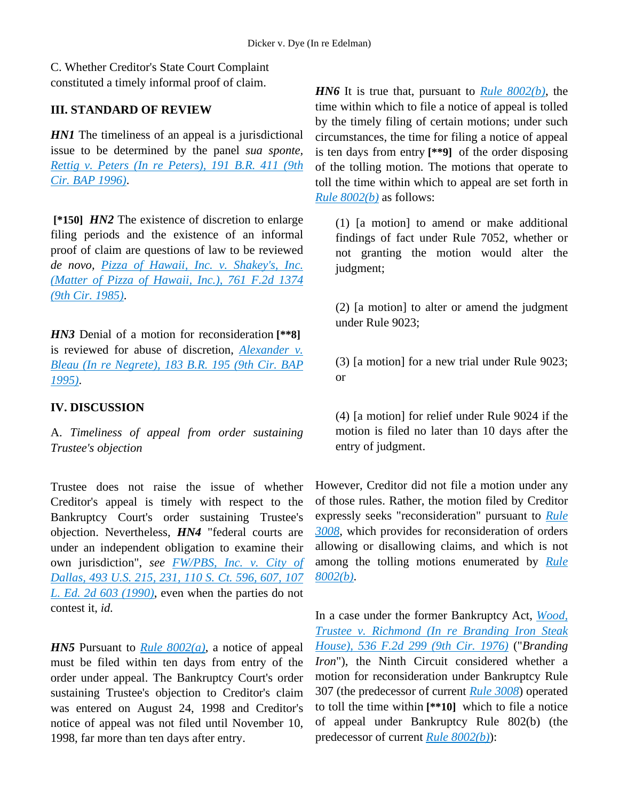C. Whether Creditor's State Court Complaint constituted a timely informal proof of claim.

# **III. STANDARD OF REVIEW**

*HN1* The timeliness of an appeal is a jurisdictional issue to be determined by the panel *sua sponte, [Rettig v. Peters \(In re Peters\), 191 B.R. 411 \(9th](http://advance.lexis.com/api/document?collection=cases&id=urn:contentItem:3S4V-MTN0-003B-X50M-00000-00&context=1000516)  [Cir. BAP 1996\)](http://advance.lexis.com/api/document?collection=cases&id=urn:contentItem:3S4V-MTN0-003B-X50M-00000-00&context=1000516)*.

**[\*150]** *HN2* The existence of discretion to enlarge filing periods and the existence of an informal proof of claim are questions of law to be reviewed *de novo, [Pizza of Hawaii, Inc. v. Shakey's, Inc.](http://advance.lexis.com/api/document?collection=cases&id=urn:contentItem:3S4X-H7X0-0039-P055-00000-00&context=1000516)  [\(Matter of Pizza of Hawaii, Inc.\), 761 F.2d 1374](http://advance.lexis.com/api/document?collection=cases&id=urn:contentItem:3S4X-H7X0-0039-P055-00000-00&context=1000516)  [\(9th Cir. 1985\)](http://advance.lexis.com/api/document?collection=cases&id=urn:contentItem:3S4X-H7X0-0039-P055-00000-00&context=1000516)*.

*HN3* Denial of a motion for reconsideration **[\*\*8]** is reviewed for abuse of discretion, *[Alexander v.](http://advance.lexis.com/api/document?collection=cases&id=urn:contentItem:3S4V-NG70-003B-X1K6-00000-00&context=1000516)  [Bleau \(In re Negrete\), 183 B.R. 195 \(9th Cir. BAP](http://advance.lexis.com/api/document?collection=cases&id=urn:contentItem:3S4V-NG70-003B-X1K6-00000-00&context=1000516)  [1995\)](http://advance.lexis.com/api/document?collection=cases&id=urn:contentItem:3S4V-NG70-003B-X1K6-00000-00&context=1000516)*.

# **IV. DISCUSSION**

A. *Timeliness of appeal from order sustaining Trustee's objection*

Trustee does not raise the issue of whether Creditor's appeal is timely with respect to the Bankruptcy Court's order sustaining Trustee's objection. Nevertheless, *HN4* "federal courts are under an independent obligation to examine their own jurisdiction", *see [FW/PBS, Inc. v. City of](http://advance.lexis.com/api/document?collection=cases&id=urn:contentItem:3S4X-8GW0-003B-42B7-00000-00&context=1000516)  [Dallas,](http://advance.lexis.com/api/document?collection=cases&id=urn:contentItem:3S4X-8GW0-003B-42B7-00000-00&context=1000516) 493 U.S. 215, 231, [110 S. Ct. 596, 607, 107](http://advance.lexis.com/api/document?collection=cases&id=urn:contentItem:3S4X-8GW0-003B-42B7-00000-00&context=1000516)  [L. Ed. 2d 603 \(1990\)](http://advance.lexis.com/api/document?collection=cases&id=urn:contentItem:3S4X-8GW0-003B-42B7-00000-00&context=1000516)*, even when the parties do not contest it, *id.*

*HN5* Pursuant to *[Rule 8002\(a\)](http://advance.lexis.com/api/document?collection=statutes-legislation&id=urn:contentItem:4YF7-GW11-NRF4-41Y5-00000-00&context=1000516)*, a notice of appeal must be filed within ten days from entry of the order under appeal. The Bankruptcy Court's order sustaining Trustee's objection to Creditor's claim was entered on August 24, 1998 and Creditor's notice of appeal was not filed until November 10, 1998, far more than ten days after entry.

*HN6* It is true that, pursuant to *[Rule 8002\(b\)](http://advance.lexis.com/api/document?collection=statutes-legislation&id=urn:contentItem:4YF7-GW11-NRF4-41Y5-00000-00&context=1000516)*, the time within which to file a notice of appeal is tolled by the timely filing of certain motions; under such circumstances, the time for filing a notice of appeal is ten days from entry **[\*\*9]** of the order disposing of the tolling motion. The motions that operate to toll the time within which to appeal are set forth in *[Rule 8002\(b\)](http://advance.lexis.com/api/document?collection=statutes-legislation&id=urn:contentItem:4YF7-GW11-NRF4-41Y5-00000-00&context=1000516)* as follows:

(1) [a motion] to amend or make additional findings of fact under Rule 7052, whether or not granting the motion would alter the judgment;

(2) [a motion] to alter or amend the judgment under Rule 9023;

(3) [a motion] for a new trial under Rule 9023; or

(4) [a motion] for relief under Rule 9024 if the motion is filed no later than 10 days after the entry of judgment.

However, Creditor did not file a motion under any of those rules. Rather, the motion filed by Creditor expressly seeks "reconsideration" pursuant to *[Rule](http://advance.lexis.com/api/document?collection=statutes-legislation&id=urn:contentItem:4YF7-GT91-NRF4-40PK-00000-00&context=1000516)  [3008](http://advance.lexis.com/api/document?collection=statutes-legislation&id=urn:contentItem:4YF7-GT91-NRF4-40PK-00000-00&context=1000516)*, which provides for reconsideration of orders allowing or disallowing claims, and which is not among the tolling motions enumerated by *[Rule](http://advance.lexis.com/api/document?collection=statutes-legislation&id=urn:contentItem:4YF7-GW11-NRF4-41Y5-00000-00&context=1000516)  [8002\(b\)](http://advance.lexis.com/api/document?collection=statutes-legislation&id=urn:contentItem:4YF7-GW11-NRF4-41Y5-00000-00&context=1000516)*.

In a case under the former Bankruptcy Act, *[Wood,](http://advance.lexis.com/api/document?collection=cases&id=urn:contentItem:3S4X-1YS0-0039-M4K4-00000-00&context=1000516)  [Trustee v. Richmond \(In re Branding Iron Steak](http://advance.lexis.com/api/document?collection=cases&id=urn:contentItem:3S4X-1YS0-0039-M4K4-00000-00&context=1000516)  [House\), 536 F.2d 299 \(9th Cir. 1976\)](http://advance.lexis.com/api/document?collection=cases&id=urn:contentItem:3S4X-1YS0-0039-M4K4-00000-00&context=1000516)* ("*Branding Iron*"), the Ninth Circuit considered whether a motion for reconsideration under Bankruptcy Rule 307 (the predecessor of current *[Rule 3008](http://advance.lexis.com/api/document?collection=statutes-legislation&id=urn:contentItem:4YF7-GT91-NRF4-40PK-00000-00&context=1000516)*) operated to toll the time within **[\*\*10]** which to file a notice of appeal under Bankruptcy Rule 802(b) (the predecessor of current *[Rule 8002\(b\)](http://advance.lexis.com/api/document?collection=statutes-legislation&id=urn:contentItem:4YF7-GW11-NRF4-41Y5-00000-00&context=1000516)*):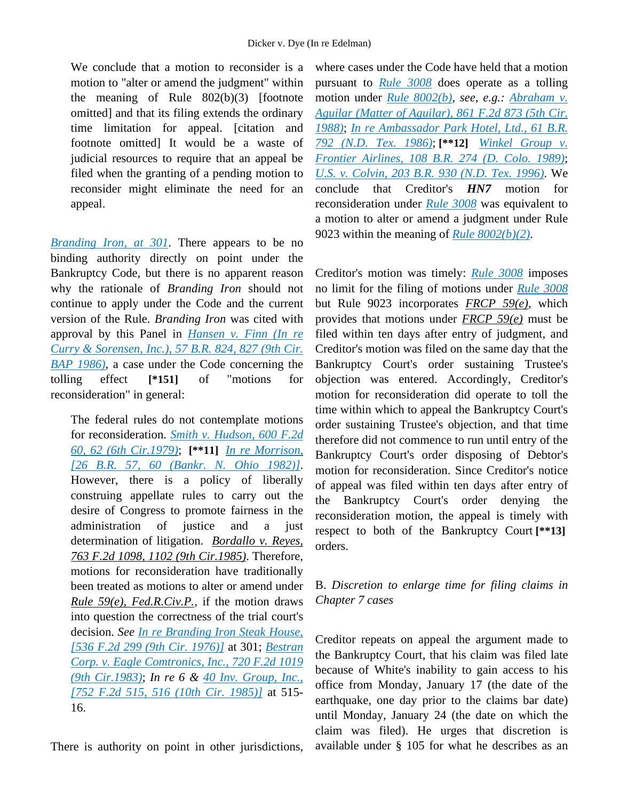We conclude that a motion to reconsider is a motion to "alter or amend the judgment" within the meaning of Rule 802(b)(3) [footnote omitted] and that its filing extends the ordinary time limitation for appeal. [citation and footnote omitted] It would be a waste of judicial resources to require that an appeal be filed when the granting of a pending motion to reconsider might eliminate the need for an appeal.

*[Branding Iron, at 301](http://advance.lexis.com/api/document?collection=cases&id=urn:contentItem:3S4X-1YS0-0039-M4K4-00000-00&context=1000516)*. There appears to be no binding authority directly on point under the Bankruptcy Code, but there is no apparent reason why the rationale of *Branding Iron* should not continue to apply under the Code and the current version of the Rule. *Branding Iron* was cited with approval by this Panel in *[Hansen v. Finn \(In re](http://advance.lexis.com/api/document?collection=cases&id=urn:contentItem:3S4V-N7H0-0039-K0FW-00000-00&context=1000516)  [Curry & Sorensen, Inc.\), 57 B.R. 824, 827 \(9th Cir.](http://advance.lexis.com/api/document?collection=cases&id=urn:contentItem:3S4V-N7H0-0039-K0FW-00000-00&context=1000516)  [BAP 1986\)](http://advance.lexis.com/api/document?collection=cases&id=urn:contentItem:3S4V-N7H0-0039-K0FW-00000-00&context=1000516)*, a case under the Code concerning the tolling effect **[\*151]** of "motions for reconsideration" in general:

The federal rules do not contemplate motions for reconsideration. *[Smith v. Hudson, 600 F.2d](http://advance.lexis.com/api/document?collection=cases&id=urn:contentItem:3S4W-VP20-0039-M0W6-00000-00&context=1000516)  [60, 62 \(6th Cir.1979\)](http://advance.lexis.com/api/document?collection=cases&id=urn:contentItem:3S4W-VP20-0039-M0W6-00000-00&context=1000516)*; **[\*\*11]** *[In re Morrison,](http://advance.lexis.com/api/document?collection=cases&id=urn:contentItem:3S4V-R2S0-0039-K4FR-00000-00&context=1000516)  [\[26 B.R. 57, 60 \(Bankr. N. Ohio 1982\)\]](http://advance.lexis.com/api/document?collection=cases&id=urn:contentItem:3S4V-R2S0-0039-K4FR-00000-00&context=1000516)*. However, there is a policy of liberally construing appellate rules to carry out the desire of Congress to promote fairness in the administration of justice and a just determination of litigation. *Bordallo v. Reyes, 763 F.2d 1098, 1102 (9th Cir.1985)*. Therefore, motions for reconsideration have traditionally been treated as motions to alter or amend under *Rule 59(e), Fed.R.Civ.P.*, if the motion draws into question the correctness of the trial court's decision. *See [In re Branding Iron Steak House,](http://advance.lexis.com/api/document?collection=cases&id=urn:contentItem:3S4X-1YS0-0039-M4K4-00000-00&context=1000516)  [\[536 F.2d 299 \(9th Cir. 1976\)\]](http://advance.lexis.com/api/document?collection=cases&id=urn:contentItem:3S4X-1YS0-0039-M4K4-00000-00&context=1000516)* at 301; *[Bestran](http://advance.lexis.com/api/document?collection=cases&id=urn:contentItem:3S4W-Y6R0-003B-G2HT-00000-00&context=1000516)  [Corp. v. Eagle Comtronics, Inc., 720 F.2d 1019](http://advance.lexis.com/api/document?collection=cases&id=urn:contentItem:3S4W-Y6R0-003B-G2HT-00000-00&context=1000516)  [\(9th Cir.1983\)](http://advance.lexis.com/api/document?collection=cases&id=urn:contentItem:3S4W-Y6R0-003B-G2HT-00000-00&context=1000516)*; *In re 6 & [40 Inv. Group, Inc.,](http://advance.lexis.com/api/document?collection=cases&id=urn:contentItem:3S4X-JSK0-0039-P0DS-00000-00&context=1000516)  [\[752 F.2d 515, 516 \(10th Cir. 1985\)\]](http://advance.lexis.com/api/document?collection=cases&id=urn:contentItem:3S4X-JSK0-0039-P0DS-00000-00&context=1000516)* at 515- 16.

There is authority on point in other jurisdictions,

where cases under the Code have held that a motion pursuant to *[Rule 3008](http://advance.lexis.com/api/document?collection=statutes-legislation&id=urn:contentItem:4YF7-GT91-NRF4-40PK-00000-00&context=1000516)* does operate as a tolling motion under *[Rule 8002\(b\)](http://advance.lexis.com/api/document?collection=statutes-legislation&id=urn:contentItem:4YF7-GW11-NRF4-41Y5-00000-00&context=1000516)*, *see, e.g.: [Abraham v.](http://advance.lexis.com/api/document?collection=cases&id=urn:contentItem:3S4W-XBK0-001B-K142-00000-00&context=1000516)  [Aguilar \(Matter of Aguilar\), 861 F.2d 873 \(5th Cir.](http://advance.lexis.com/api/document?collection=cases&id=urn:contentItem:3S4W-XBK0-001B-K142-00000-00&context=1000516)  [1988\)](http://advance.lexis.com/api/document?collection=cases&id=urn:contentItem:3S4W-XBK0-001B-K142-00000-00&context=1000516)*; *[In re Ambassador Park Hotel, Ltd., 61 B.R.](http://advance.lexis.com/api/document?collection=cases&id=urn:contentItem:3S4N-9M40-0039-R1H0-00000-00&context=1000516)  [792 \(N.D. Tex. 1986\)](http://advance.lexis.com/api/document?collection=cases&id=urn:contentItem:3S4N-9M40-0039-R1H0-00000-00&context=1000516)*; **[\*\*12]** *[Winkel Group v.](http://advance.lexis.com/api/document?collection=cases&id=urn:contentItem:3S4N-9TF0-0054-40H3-00000-00&context=1000516)  [Frontier Airlines, 108 B.R. 274 \(D. Colo. 1989\)](http://advance.lexis.com/api/document?collection=cases&id=urn:contentItem:3S4N-9TF0-0054-40H3-00000-00&context=1000516)*; *[U.S. v. Colvin, 203 B.R. 930 \(N.D. Tex. 1996\)](http://advance.lexis.com/api/document?collection=cases&id=urn:contentItem:3S4N-6JD0-006F-P25Y-00000-00&context=1000516)*. We conclude that Creditor's *HN7* motion for reconsideration under *[Rule 3008](http://advance.lexis.com/api/document?collection=statutes-legislation&id=urn:contentItem:4YF7-GT91-NRF4-40PK-00000-00&context=1000516)* was equivalent to a motion to alter or amend a judgment under Rule 9023 within the meaning of *[Rule 8002\(b\)\(2\)](http://advance.lexis.com/api/document?collection=statutes-legislation&id=urn:contentItem:4YF7-GW11-NRF4-41Y5-00000-00&context=1000516)*.

Creditor's motion was timely: *[Rule 3008](http://advance.lexis.com/api/document?collection=statutes-legislation&id=urn:contentItem:4YF7-GT91-NRF4-40PK-00000-00&context=1000516)* imposes no limit for the filing of motions under *[Rule 3008](http://advance.lexis.com/api/document?collection=statutes-legislation&id=urn:contentItem:4YF7-GT91-NRF4-40PK-00000-00&context=1000516)* but Rule 9023 incorporates *FRCP 59(e)*, which provides that motions under *FRCP 59(e)* must be filed within ten days after entry of judgment, and Creditor's motion was filed on the same day that the Bankruptcy Court's order sustaining Trustee's objection was entered. Accordingly, Creditor's motion for reconsideration did operate to toll the time within which to appeal the Bankruptcy Court's order sustaining Trustee's objection, and that time therefore did not commence to run until entry of the Bankruptcy Court's order disposing of Debtor's motion for reconsideration. Since Creditor's notice of appeal was filed within ten days after entry of the Bankruptcy Court's order denying the reconsideration motion, the appeal is timely with respect to both of the Bankruptcy Court **[\*\*13]** orders.

# B. *Discretion to enlarge time for filing claims in Chapter 7 cases*

Creditor repeats on appeal the argument made to the Bankruptcy Court, that his claim was filed late because of White's inability to gain access to his office from Monday, January 17 (the date of the earthquake, one day prior to the claims bar date) until Monday, January 24 (the date on which the claim was filed). He urges that discretion is available under § 105 for what he describes as an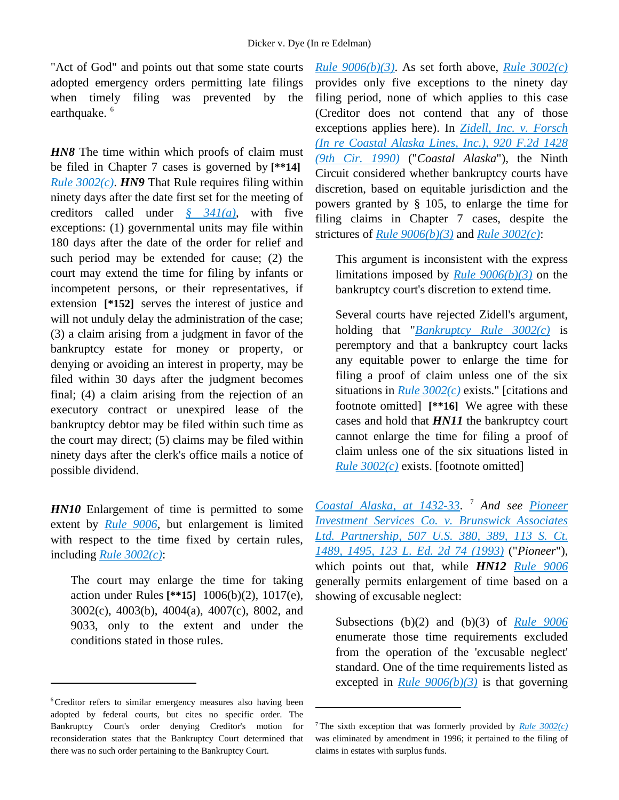"Act of God" and points out that some state courts adopted emergency orders permitting late filings when timely filing was prevented by the earthquake.<sup>[6](#page-8-0)</sup>

*HN8* The time within which proofs of claim must be filed in Chapter 7 cases is governed by **[\*\*14]** *[Rule 3002\(c\)](http://advance.lexis.com/api/document?collection=statutes-legislation&id=urn:contentItem:4YF7-GMP1-NRF4-41HD-00000-00&context=1000516)*. *HN9* That Rule requires filing within ninety days after the date first set for the meeting of creditors called under *[§ 341\(a\)](http://advance.lexis.com/api/document?collection=statutes-legislation&id=urn:contentItem:4YF7-GWF1-NRF4-40PS-00000-00&context=1000516)*, with five exceptions: (1) governmental units may file within 180 days after the date of the order for relief and such period may be extended for cause; (2) the court may extend the time for filing by infants or incompetent persons, or their representatives, if extension **[\*152]** serves the interest of justice and will not unduly delay the administration of the case; (3) a claim arising from a judgment in favor of the bankruptcy estate for money or property, or denying or avoiding an interest in property, may be filed within 30 days after the judgment becomes final; (4) a claim arising from the rejection of an executory contract or unexpired lease of the bankruptcy debtor may be filed within such time as the court may direct; (5) claims may be filed within ninety days after the clerk's office mails a notice of possible dividend.

*HN10* Enlargement of time is permitted to some extent by *[Rule 9006](http://advance.lexis.com/api/document?collection=statutes-legislation&id=urn:contentItem:4YF7-GJ51-NRF4-42SW-00000-00&context=1000516)*, but enlargement is limited with respect to the time fixed by certain rules, including *[Rule 3002\(c\)](http://advance.lexis.com/api/document?collection=statutes-legislation&id=urn:contentItem:4YF7-GMP1-NRF4-41HD-00000-00&context=1000516)*:

The court may enlarge the time for taking action under Rules **[\*\*15]** 1006(b)(2), 1017(e), 3002(c), 4003(b), 4004(a), 4007(c), 8002, and 9033, only to the extent and under the conditions stated in those rules.

 $\overline{a}$ 

*[Rule 9006\(b\)\(3\)](http://advance.lexis.com/api/document?collection=statutes-legislation&id=urn:contentItem:4YF7-GJ51-NRF4-42SW-00000-00&context=1000516)*. As set forth above, *[Rule 3002\(c\)](http://advance.lexis.com/api/document?collection=statutes-legislation&id=urn:contentItem:4YF7-GMP1-NRF4-41HD-00000-00&context=1000516)* provides only five exceptions to the ninety day filing period, none of which applies to this case (Creditor does not contend that any of those exceptions applies here). In *[Zidell, Inc. v. Forsch](http://advance.lexis.com/api/document?collection=cases&id=urn:contentItem:3S4X-1570-003B-54J6-00000-00&context=1000516)  [\(In re Coastal Alaska Lines, Inc.\), 920 F.2d 1428](http://advance.lexis.com/api/document?collection=cases&id=urn:contentItem:3S4X-1570-003B-54J6-00000-00&context=1000516)  [\(9th Cir. 1990\)](http://advance.lexis.com/api/document?collection=cases&id=urn:contentItem:3S4X-1570-003B-54J6-00000-00&context=1000516)* ("*Coastal Alaska*"), the Ninth Circuit considered whether bankruptcy courts have discretion, based on equitable jurisdiction and the powers granted by § 105, to enlarge the time for filing claims in Chapter 7 cases, despite the strictures of *[Rule 9006\(b\)\(3\)](http://advance.lexis.com/api/document?collection=statutes-legislation&id=urn:contentItem:4YF7-GJ51-NRF4-42SW-00000-00&context=1000516)* and *[Rule 3002\(c\)](http://advance.lexis.com/api/document?collection=statutes-legislation&id=urn:contentItem:4YF7-GMP1-NRF4-41HD-00000-00&context=1000516)*:

This argument is inconsistent with the express limitations imposed by *[Rule 9006\(b\)\(3\)](http://advance.lexis.com/api/document?collection=statutes-legislation&id=urn:contentItem:4YF7-GJ51-NRF4-42SW-00000-00&context=1000516)* on the bankruptcy court's discretion to extend time.

Several courts have rejected Zidell's argument, holding that "*[Bankruptcy Rule 3002\(c\)](http://advance.lexis.com/api/document?collection=statutes-legislation&id=urn:contentItem:4YF7-GMP1-NRF4-41HD-00000-00&context=1000516)* is peremptory and that a bankruptcy court lacks any equitable power to enlarge the time for filing a proof of claim unless one of the six situations in *[Rule 3002\(c\)](http://advance.lexis.com/api/document?collection=statutes-legislation&id=urn:contentItem:4YF7-GMP1-NRF4-41HD-00000-00&context=1000516)* exists." [citations and footnote omitted] **[\*\*16]** We agree with these cases and hold that *HN11* the bankruptcy court cannot enlarge the time for filing a proof of claim unless one of the six situations listed in *[Rule 3002\(c\)](http://advance.lexis.com/api/document?collection=statutes-legislation&id=urn:contentItem:4YF7-GMP1-NRF4-41HD-00000-00&context=1000516)* exists. [footnote omitted]

*[Coastal Alaska, at 1432-33](http://advance.lexis.com/api/document?collection=cases&id=urn:contentItem:3S4X-1570-003B-54J6-00000-00&context=1000516)*. [7](#page-8-1) *And see [Pioneer](http://advance.lexis.com/api/document?collection=cases&id=urn:contentItem:3RJ6-FCN0-003B-R0KY-00000-00&context=1000516)  [Investment Services Co. v. Brunswick Associates](http://advance.lexis.com/api/document?collection=cases&id=urn:contentItem:3RJ6-FCN0-003B-R0KY-00000-00&context=1000516)  [Ltd. Partnership, 507 U.S. 380, 389, 113 S. Ct.](http://advance.lexis.com/api/document?collection=cases&id=urn:contentItem:3RJ6-FCN0-003B-R0KY-00000-00&context=1000516)  [1489, 1495, 123 L. Ed. 2d 74 \(1993\)](http://advance.lexis.com/api/document?collection=cases&id=urn:contentItem:3RJ6-FCN0-003B-R0KY-00000-00&context=1000516)* ("*Pioneer*"), which points out that, while *HN12 [Rule 9006](http://advance.lexis.com/api/document?collection=statutes-legislation&id=urn:contentItem:4YF7-GJ51-NRF4-42SW-00000-00&context=1000516)* generally permits enlargement of time based on a showing of excusable neglect:

Subsections (b)(2) and (b)(3) of *[Rule 9006](http://advance.lexis.com/api/document?collection=statutes-legislation&id=urn:contentItem:4YF7-GJ51-NRF4-42SW-00000-00&context=1000516)* enumerate those time requirements excluded from the operation of the 'excusable neglect' standard. One of the time requirements listed as excepted in *[Rule 9006\(b\)\(3\)](http://advance.lexis.com/api/document?collection=statutes-legislation&id=urn:contentItem:4YF7-GJ51-NRF4-42SW-00000-00&context=1000516)* is that governing

 $\overline{a}$ 

<span id="page-8-1"></span><span id="page-8-0"></span><sup>&</sup>lt;sup>6</sup>Creditor refers to similar emergency measures also having been adopted by federal courts, but cites no specific order. The Bankruptcy Court's order denying Creditor's motion for reconsideration states that the Bankruptcy Court determined that there was no such order pertaining to the Bankruptcy Court.

<sup>7</sup> The sixth exception that was formerly provided by *[Rule 3002\(c\)](http://advance.lexis.com/api/document?collection=statutes-legislation&id=urn:contentItem:4YF7-GMP1-NRF4-41HD-00000-00&context=1000516)* was eliminated by amendment in 1996; it pertained to the filing of claims in estates with surplus funds.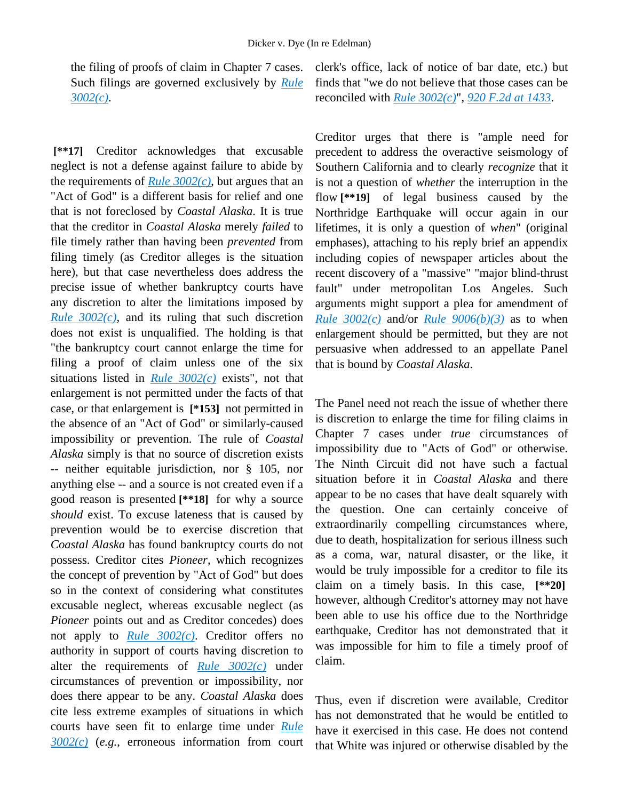the filing of proofs of claim in Chapter 7 cases. Such filings are governed exclusively by *[Rule](http://advance.lexis.com/api/document?collection=statutes-legislation&id=urn:contentItem:4YF7-GMP1-NRF4-41HD-00000-00&context=1000516)  [3002\(c\)](http://advance.lexis.com/api/document?collection=statutes-legislation&id=urn:contentItem:4YF7-GMP1-NRF4-41HD-00000-00&context=1000516)*.

**[\*\*17]** Creditor acknowledges that excusable neglect is not a defense against failure to abide by the requirements of *[Rule 3002\(c\)](http://advance.lexis.com/api/document?collection=statutes-legislation&id=urn:contentItem:4YF7-GMP1-NRF4-41HD-00000-00&context=1000516)*, but argues that an "Act of God" is a different basis for relief and one that is not foreclosed by *Coastal Alaska*. It is true that the creditor in *Coastal Alaska* merely *failed* to file timely rather than having been *prevented* from filing timely (as Creditor alleges is the situation here), but that case nevertheless does address the precise issue of whether bankruptcy courts have any discretion to alter the limitations imposed by *[Rule 3002\(c\)](http://advance.lexis.com/api/document?collection=statutes-legislation&id=urn:contentItem:4YF7-GMP1-NRF4-41HD-00000-00&context=1000516)*, and its ruling that such discretion does not exist is unqualified. The holding is that "the bankruptcy court cannot enlarge the time for filing a proof of claim unless one of the six situations listed in *[Rule 3002\(c\)](http://advance.lexis.com/api/document?collection=statutes-legislation&id=urn:contentItem:4YF7-GMP1-NRF4-41HD-00000-00&context=1000516)* exists", not that enlargement is not permitted under the facts of that case, or that enlargement is **[\*153]** not permitted in the absence of an "Act of God" or similarly-caused impossibility or prevention. The rule of *Coastal Alaska* simply is that no source of discretion exists -- neither equitable jurisdiction, nor § 105, nor anything else -- and a source is not created even if a good reason is presented **[\*\*18]** for why a source *should* exist. To excuse lateness that is caused by prevention would be to exercise discretion that *Coastal Alaska* has found bankruptcy courts do not possess. Creditor cites *Pioneer*, which recognizes the concept of prevention by "Act of God" but does so in the context of considering what constitutes excusable neglect, whereas excusable neglect (as *Pioneer* points out and as Creditor concedes) does not apply to *[Rule 3002\(c\)](http://advance.lexis.com/api/document?collection=statutes-legislation&id=urn:contentItem:4YF7-GMP1-NRF4-41HD-00000-00&context=1000516)*. Creditor offers no authority in support of courts having discretion to alter the requirements of *[Rule 3002\(c\)](http://advance.lexis.com/api/document?collection=statutes-legislation&id=urn:contentItem:4YF7-GMP1-NRF4-41HD-00000-00&context=1000516)* under circumstances of prevention or impossibility, nor does there appear to be any. *Coastal Alaska* does cite less extreme examples of situations in which courts have seen fit to enlarge time under *[Rule](http://advance.lexis.com/api/document?collection=statutes-legislation&id=urn:contentItem:4YF7-GMP1-NRF4-41HD-00000-00&context=1000516)  [3002\(c\)](http://advance.lexis.com/api/document?collection=statutes-legislation&id=urn:contentItem:4YF7-GMP1-NRF4-41HD-00000-00&context=1000516)* (*e.g.*, erroneous information from court

clerk's office, lack of notice of bar date, etc.) but finds that "we do not believe that those cases can be reconciled with *[Rule 3002\(c\)](http://advance.lexis.com/api/document?collection=statutes-legislation&id=urn:contentItem:4YF7-GMP1-NRF4-41HD-00000-00&context=1000516)*", *[920 F.2d at 1433](http://advance.lexis.com/api/document?collection=cases&id=urn:contentItem:3S4X-1570-003B-54J6-00000-00&context=1000516)*.

Creditor urges that there is "ample need for precedent to address the overactive seismology of Southern California and to clearly *recognize* that it is not a question of *whether* the interruption in the flow **[\*\*19]** of legal business caused by the Northridge Earthquake will occur again in our lifetimes, it is only a question of *when*" (original emphases), attaching to his reply brief an appendix including copies of newspaper articles about the recent discovery of a "massive" "major blind-thrust fault" under metropolitan Los Angeles. Such arguments might support a plea for amendment of *[Rule 3002\(c\)](http://advance.lexis.com/api/document?collection=statutes-legislation&id=urn:contentItem:4YF7-GMP1-NRF4-41HD-00000-00&context=1000516)* and/or *[Rule 9006\(b\)\(3\)](http://advance.lexis.com/api/document?collection=statutes-legislation&id=urn:contentItem:4YF7-GJ51-NRF4-42SW-00000-00&context=1000516)* as to when enlargement should be permitted, but they are not persuasive when addressed to an appellate Panel that is bound by *Coastal Alaska*.

The Panel need not reach the issue of whether there is discretion to enlarge the time for filing claims in Chapter 7 cases under *true* circumstances of impossibility due to "Acts of God" or otherwise. The Ninth Circuit did not have such a factual situation before it in *Coastal Alaska* and there appear to be no cases that have dealt squarely with the question. One can certainly conceive of extraordinarily compelling circumstances where, due to death, hospitalization for serious illness such as a coma, war, natural disaster, or the like, it would be truly impossible for a creditor to file its claim on a timely basis. In this case, **[\*\*20]** however, although Creditor's attorney may not have been able to use his office due to the Northridge earthquake, Creditor has not demonstrated that it was impossible for him to file a timely proof of claim.

Thus, even if discretion were available, Creditor has not demonstrated that he would be entitled to have it exercised in this case. He does not contend that White was injured or otherwise disabled by the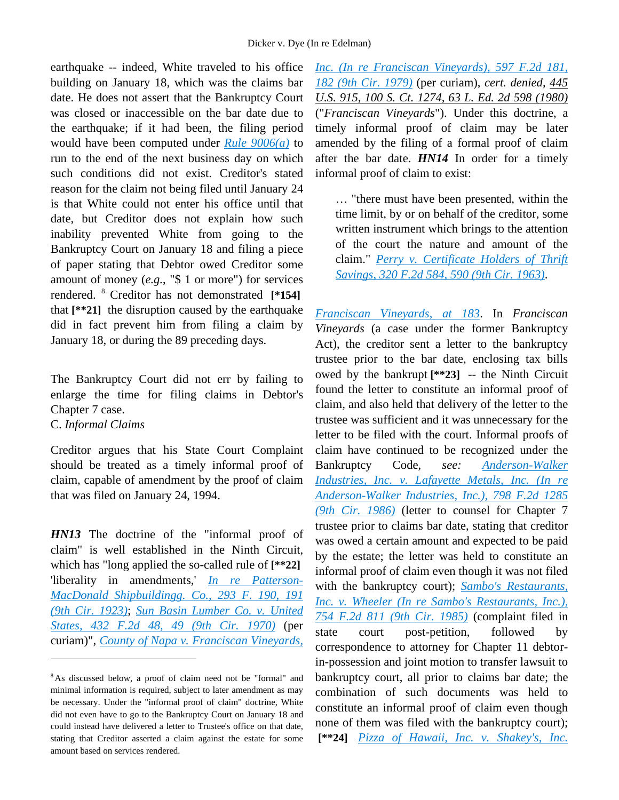earthquake -- indeed, White traveled to his office building on January 18, which was the claims bar date. He does not assert that the Bankruptcy Court was closed or inaccessible on the bar date due to the earthquake; if it had been, the filing period would have been computed under *[Rule 9006\(a\)](http://advance.lexis.com/api/document?collection=statutes-legislation&id=urn:contentItem:4YF7-GJ51-NRF4-42SW-00000-00&context=1000516)* to run to the end of the next business day on which such conditions did not exist. Creditor's stated reason for the claim not being filed until January 24 is that White could not enter his office until that date, but Creditor does not explain how such inability prevented White from going to the Bankruptcy Court on January 18 and filing a piece of paper stating that Debtor owed Creditor some amount of money (*e.g.*, "\$ 1 or more") for services rendered. [8](#page-10-0) Creditor has not demonstrated **[\*154]** that **[\*\*21]** the disruption caused by the earthquake did in fact prevent him from filing a claim by January 18, or during the 89 preceding days.

The Bankruptcy Court did not err by failing to enlarge the time for filing claims in Debtor's Chapter 7 case.

C. *Informal Claims*

 $\overline{a}$ 

Creditor argues that his State Court Complaint should be treated as a timely informal proof of claim, capable of amendment by the proof of claim that was filed on January 24, 1994.

*HN13* The doctrine of the "informal proof of claim" is well established in the Ninth Circuit, which has "long applied the so-called rule of **[\*\*22]** 'liberality in amendments,' *[In re Patterson-](http://advance.lexis.com/api/document?collection=cases&id=urn:contentItem:3S4X-2400-003B-K472-00000-00&context=1000516)[MacDonald Shipbuildingg. Co., 293 F. 190, 191](http://advance.lexis.com/api/document?collection=cases&id=urn:contentItem:3S4X-2400-003B-K472-00000-00&context=1000516)  [\(9th Cir. 1923\)](http://advance.lexis.com/api/document?collection=cases&id=urn:contentItem:3S4X-2400-003B-K472-00000-00&context=1000516)*; *[Sun Basin Lumber Co. v. United](http://advance.lexis.com/api/document?collection=cases&id=urn:contentItem:3S4X-JCS0-0039-X19X-00000-00&context=1000516)  [States, 432 F.2d 48, 49 \(9th Cir. 1970\)](http://advance.lexis.com/api/document?collection=cases&id=urn:contentItem:3S4X-JCS0-0039-X19X-00000-00&context=1000516)* (per curiam)", *[County of Napa v. Franciscan Vineyards,](http://advance.lexis.com/api/document?collection=cases&id=urn:contentItem:3S4W-W1J0-0039-M24M-00000-00&context=1000516)* 

*[Inc. \(In re Franciscan Vineyards\), 597 F.2d 181,](http://advance.lexis.com/api/document?collection=cases&id=urn:contentItem:3S4W-W1J0-0039-M24M-00000-00&context=1000516)  [182 \(9th Cir. 1979\)](http://advance.lexis.com/api/document?collection=cases&id=urn:contentItem:3S4W-W1J0-0039-M24M-00000-00&context=1000516)* (per curiam), *cert. denied*, *445 U.S. 915, 100 S. Ct. 1274, 63 L. Ed. 2d 598 (1980)* ("*Franciscan Vineyards*"). Under this doctrine, a timely informal proof of claim may be later amended by the filing of a formal proof of claim after the bar date. *HN14* In order for a timely informal proof of claim to exist:

… "there must have been presented, within the time limit, by or on behalf of the creditor, some written instrument which brings to the attention of the court the nature and amount of the claim." *[Perry v. Certificate Holders of Thrift](http://advance.lexis.com/api/document?collection=cases&id=urn:contentItem:3S4X-2HX0-0039-Y1DH-00000-00&context=1000516)  [Savings, 320 F.2d 584, 590 \(9th Cir. 1963\)](http://advance.lexis.com/api/document?collection=cases&id=urn:contentItem:3S4X-2HX0-0039-Y1DH-00000-00&context=1000516)*.

*[Franciscan Vineyards, at 183](http://advance.lexis.com/api/document?collection=cases&id=urn:contentItem:3S4W-W1J0-0039-M24M-00000-00&context=1000516)*. In *Franciscan Vineyards* (a case under the former Bankruptcy Act), the creditor sent a letter to the bankruptcy trustee prior to the bar date, enclosing tax bills owed by the bankrupt **[\*\*23]** -- the Ninth Circuit found the letter to constitute an informal proof of claim, and also held that delivery of the letter to the trustee was sufficient and it was unnecessary for the letter to be filed with the court. Informal proofs of claim have continued to be recognized under the Bankruptcy Code, *see: [Anderson-Walker](http://advance.lexis.com/api/document?collection=cases&id=urn:contentItem:3S4X-1HG0-0039-P1TX-00000-00&context=1000516)  [Industries, Inc. v. Lafayette Metals, Inc. \(In re](http://advance.lexis.com/api/document?collection=cases&id=urn:contentItem:3S4X-1HG0-0039-P1TX-00000-00&context=1000516)  [Anderson-Walker Industries, Inc.\), 798 F.2d 1285](http://advance.lexis.com/api/document?collection=cases&id=urn:contentItem:3S4X-1HG0-0039-P1TX-00000-00&context=1000516)  [\(9th Cir. 1986\)](http://advance.lexis.com/api/document?collection=cases&id=urn:contentItem:3S4X-1HG0-0039-P1TX-00000-00&context=1000516)* (letter to counsel for Chapter 7 trustee prior to claims bar date, stating that creditor was owed a certain amount and expected to be paid by the estate; the letter was held to constitute an informal proof of claim even though it was not filed with the bankruptcy court); *[Sambo's Restaurants,](http://advance.lexis.com/api/document?collection=cases&id=urn:contentItem:3S4X-JH40-0039-P4MV-00000-00&context=1000516)  [Inc. v. Wheeler \(In re Sambo's Restaurants, Inc.\),](http://advance.lexis.com/api/document?collection=cases&id=urn:contentItem:3S4X-JH40-0039-P4MV-00000-00&context=1000516)  [754 F.2d 811 \(9th Cir. 1985\)](http://advance.lexis.com/api/document?collection=cases&id=urn:contentItem:3S4X-JH40-0039-P4MV-00000-00&context=1000516)* (complaint filed in state court post-petition, followed by correspondence to attorney for Chapter 11 debtorin-possession and joint motion to transfer lawsuit to bankruptcy court, all prior to claims bar date; the combination of such documents was held to constitute an informal proof of claim even though none of them was filed with the bankruptcy court); **[\*\*24]** *[Pizza of Hawaii, Inc. v. Shakey's, Inc.](http://advance.lexis.com/api/document?collection=cases&id=urn:contentItem:3S4X-H7X0-0039-P055-00000-00&context=1000516)* 

<span id="page-10-0"></span><sup>8</sup> As discussed below, a proof of claim need not be "formal" and minimal information is required, subject to later amendment as may be necessary. Under the "informal proof of claim" doctrine, White did not even have to go to the Bankruptcy Court on January 18 and could instead have delivered a letter to Trustee's office on that date, stating that Creditor asserted a claim against the estate for some amount based on services rendered.